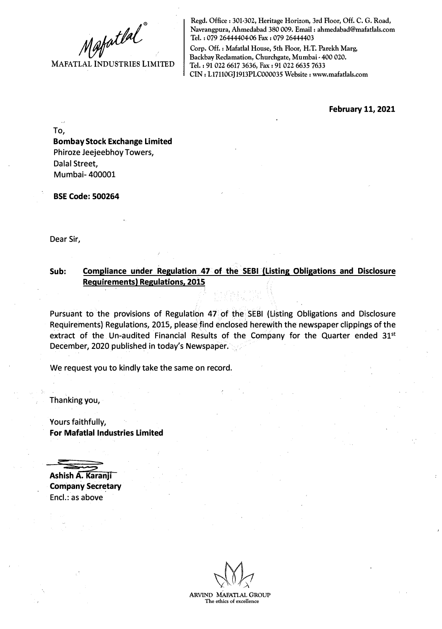**MAFATLAL INDUSTRIES LIMITED** 

**Regd. Office: 301-302, Heritage Horizon, 3rd Floor, Off. C. G. Road, Navrangpura, Ahmedabad 380 009. Email: ahmedabad@mafatlals.com Tel. : 079 26444404-06 Fax : 079 26444403** 

**Corp. Off.: Mafatlal House, 5th Floor, H.T. Parekh Marg, Backbay Reclamation, Churchgate, Mumbai - 400 020. Tel. : 91 022 6617 3636, Fax: 91 022 6635 7633 CIN: Ll7110GJ1913PLC000035 Website: www.mafatlals.com** 

**February 11, 2021** 

To,

**Bombay Stock Exchange Limited**  Phiroze Jeejeebhoy Towers, Dalal Street, Mumbai- 400001

**BSE Code: 500264** 

Dear Sir,

## **Sub: Compliance under Regulation 47 of. the SEBI {Listing Obligations and Disclosure Requirements) Regulations, 2015**

Pursuant to the provisions of Regulation 47 of the SEBI (Listing Obligations and Disclosure Requirements} Regulations, 2015, please find enclosed herewith the newspaper clippings of the extract of the Un-audited Financial Results of the Company for the Quarter ended 31<sup>st</sup> December, 2020 published in today's Newspaper.

We request you to kindly take the same on record.

Thanking you,

Yours faithfully, **For Mafatlal Industries Limited** 

**Ashish A. Karanji** 

**Company Secretary**  Encl.: as above

**ARVIND MAFATLAL GROUP The ethics of excellence**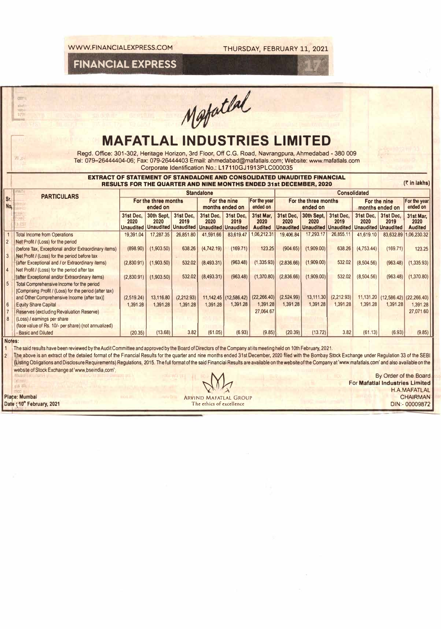**FINANCIAL EXPRESS** 

-

Matatlal

## **MAFATLAL INDUSTRIES LIMITED**<br>Regd. Office: 301-302, Heritage Horizon, 3rd Floor, Off C.G. Road, Navrangpura, Ahmedabad - 380 009

Regd. Office: 301-302, Heritage Horizon, 3rd Floor, Off C.G. Road, Navrangpura, Ahmedabad - 380 009<br>Tel: 079–26444404-06; Fax: 079-26444403 Email: ahmedabad@mafatlals.com; Website: www.mafatlals.com<br>Corporate Identificatio Tel: 079-26444404-06; Fax: 079-26444403 Email: ahmedabad@mafatlals.com; Website: www.mafatlals.com

|                       |                                                                                                                                                                                                        |                                       | Corporate Identification No.: L17110GJ1913PLC000035                      |                                                           |                                 |                   |                                     |                   |                                                            |                          |                                                 |                                 |                                     |  |  |  |
|-----------------------|--------------------------------------------------------------------------------------------------------------------------------------------------------------------------------------------------------|---------------------------------------|--------------------------------------------------------------------------|-----------------------------------------------------------|---------------------------------|-------------------|-------------------------------------|-------------------|------------------------------------------------------------|--------------------------|-------------------------------------------------|---------------------------------|-------------------------------------|--|--|--|
|                       | <b>EXTRACT OF STATEMENT OF STANDALONE AND CONSOLIDATED UNAUDITED FINANCIAL</b>                                                                                                                         |                                       | <b>RESULTS FOR THE QUARTER AND NINE MONTHS ENDED 31st DECEMBER, 2020</b> |                                                           |                                 |                   |                                     |                   |                                                            |                          |                                                 |                                 | (₹ in lakhs)                        |  |  |  |
|                       | <b>PARTICULARS</b>                                                                                                                                                                                     | <b>Standalone</b>                     |                                                                          |                                                           |                                 |                   |                                     |                   | <b>Consolidated</b>                                        |                          |                                                 |                                 |                                     |  |  |  |
| Sr.<br>No.            |                                                                                                                                                                                                        | For the three months<br>ended on      |                                                                          |                                                           | For the nine<br>months ended on |                   | For the year<br>ended on            |                   | For the three months<br>ended on                           |                          |                                                 | For the nine<br>months ended on |                                     |  |  |  |
|                       |                                                                                                                                                                                                        | 31st Dec.<br>2020<br><b>Unaudited</b> | 30th Sept.<br>2020<br><b>Unaudited</b>                                   | 31st Dec.<br>2019<br><b>Unaudited Unaudited Unaudited</b> | 31st Dec.<br>2020               | 31st Dec,<br>2019 | 31st Mar,<br>2020<br><b>Audited</b> | 31st Dec.<br>2020 | 30th Sept, 31st Dec,<br>2020<br><b>Unaudited Unaudited</b> | 2019<br><b>Unaudited</b> | 31st Dec.<br>2020<br><b>Unaudited Unaudited</b> | 31st Dec.<br>2019               | 31st Mar,<br>2020<br><b>Audited</b> |  |  |  |
|                       | <b>Total Income from Operations</b>                                                                                                                                                                    | 19,391.04                             | 17,287.35                                                                | 26,851.80                                                 | 41.591.66                       | 83,619.47         | .06.212.31                          | 19,406.84         | 17,293.17                                                  | 26,855.11                | 41,619.10                                       | 83,632.89                       | 1,06,230.32                         |  |  |  |
|                       | Net Profit / (Loss) for the period                                                                                                                                                                     |                                       |                                                                          |                                                           |                                 |                   |                                     |                   |                                                            |                          |                                                 |                                 |                                     |  |  |  |
|                       | (before Tax, Exceptional and/or Extraordinary items)                                                                                                                                                   | (898.90)                              | (1,903.50)                                                               | 638.26                                                    | (4,742.19)                      | (169.71)          | 123.25                              | (904.65)          | (1,909.00)                                                 | 638.26                   | (4, 753.44)                                     | (169.71)                        | 123.25                              |  |  |  |
| $\mathbf{3}$          | Net Profit / (Loss) for the period before tax                                                                                                                                                          |                                       |                                                                          |                                                           |                                 |                   |                                     |                   |                                                            |                          |                                                 |                                 |                                     |  |  |  |
| $\boldsymbol{\Delta}$ | (after Exceptional and / or Extraordinary items)<br>Net Profit / (Loss) for the period after tax                                                                                                       | (2,830.91)                            | (1,903.50)                                                               | 532.02                                                    | (8,493.31)                      | (963.48)          | (1,335.93)                          | (2,836.66)        | (1.909.00)                                                 | 532.02                   | (8,504.56)                                      | (963.48)                        | (1,335.93)                          |  |  |  |
|                       | (after Exceptional and/or Extraordinary items)                                                                                                                                                         | (2.830.91)                            | (1,903.50)                                                               | 532.02                                                    | (8,493.31)                      | (963.48)          | (1,370.80)                          | (2,836.66)        | (1,909.00)                                                 | 532.02                   | (8,504.56)                                      | (963.48)                        | (1,370.80)                          |  |  |  |
| 5                     | Total Comprehensive Income for the period<br>[Comprising Profit / (Loss) for the period (after tax)                                                                                                    |                                       |                                                                          |                                                           |                                 |                   |                                     |                   |                                                            |                          |                                                 |                                 |                                     |  |  |  |
|                       | and Other Comprehensive Income (after tax)]                                                                                                                                                            | (2,519.24)                            | 13,116.80                                                                | (2,212.93)                                                |                                 |                   | $11,142.45$ (12,586.42) (22,266.40) | (2,524.99)        | 13,111.30                                                  | (2,212.93)               | 11,131.20                                       |                                 | $(12,586.42)$ $(22,266.40)$         |  |  |  |
| 6                     | <b>Equity Share Capital</b>                                                                                                                                                                            | 1,391.28                              | 1.391.28                                                                 | 1,391.28                                                  | 1,391.28                        | 1,391.28          | 1,391.28                            | 1,391.28          | 1.391.28                                                   | 1,391.28                 | 1,391.28                                        | 1,391.28                        | 1,391.28                            |  |  |  |
|                       | <b>Reserves (excluding Revaluation Reserve)</b>                                                                                                                                                        |                                       |                                                                          |                                                           |                                 |                   | 27,064.67                           |                   |                                                            |                          |                                                 |                                 | 27,071.60                           |  |  |  |
|                       | (Loss) / earnings per share                                                                                                                                                                            |                                       |                                                                          |                                                           |                                 |                   |                                     |                   |                                                            |                          |                                                 |                                 |                                     |  |  |  |
|                       | (face value of Rs. 10/- per share) (not annualized)<br><b>Basic and Diluted</b>                                                                                                                        | (20.35)                               | (13.68)                                                                  | 3.82                                                      | (61.05)                         | (6.93)            | (9.85)                              | (20.39)           | (13.72)                                                    | 3.82                     | (61.13)                                         | (6.93)                          | (9.85)                              |  |  |  |
|                       | Notes:                                                                                                                                                                                                 |                                       |                                                                          |                                                           |                                 |                   |                                     |                   |                                                            |                          |                                                 |                                 |                                     |  |  |  |
|                       | The said results have been reviewed by the Audit Committee and approved by the Board of Directors of the Company at its meeting held on 10th February, 2021.                                           |                                       |                                                                          |                                                           |                                 |                   |                                     |                   |                                                            |                          |                                                 |                                 |                                     |  |  |  |
|                       | The above is an extract of the detailed format of the Financial Results for the quarter and nine months ended 31st December, 2020 filed with the Bombay Stock Exchange under Regulation 33 of the SEBI |                                       |                                                                          |                                                           |                                 |                   |                                     |                   |                                                            |                          |                                                 |                                 |                                     |  |  |  |
|                       |                                                                                                                                                                                                        |                                       |                                                                          |                                                           |                                 |                   |                                     |                   |                                                            |                          |                                                 |                                 |                                     |  |  |  |

[tisting Obligations and Disclosure Requirements) Regulations, 2015. The full format of the said Financial Results are available on the website of the Company at 'www.mafatlals.com' and also available on the website of Stock Exchange at 'www.bseindia.com',

**Date : ,**

··--

<J3T1

**ohlll**  ,or-t \_..,

**By Order of the Board By Order of the Board For Mafatlal Industries Limited**<br>
s all For **Mafatlal Industries Limited**<br>
So **H.A.MAFATLAL**  $X^{N}{}'X$  is a set of the contract of the contract of the contract of the contract of the contract of the contract of the contract of the contract of the contract of the contract of the contract of the contract of the con **Place: Mumbai and CHAIRMAN CHAIRMAN CHAIRMAN CHAIRMAN CHAIRMAN CHAIRMAN** The ethics of excellence CHAIRMAN The ethics of excellence CHAIRMAN The ethics of excellence CHAIRMAN The ethics of excellence CHAIRMAN CHAIRMAN CHA **EXAMPLE SERVING ARRIVING MATATLAL GROUP**<br> **10<sup>o</sup>• February, 2021 CHAIRMAN**<br>
The ethics of excellence DIN:- 00009872